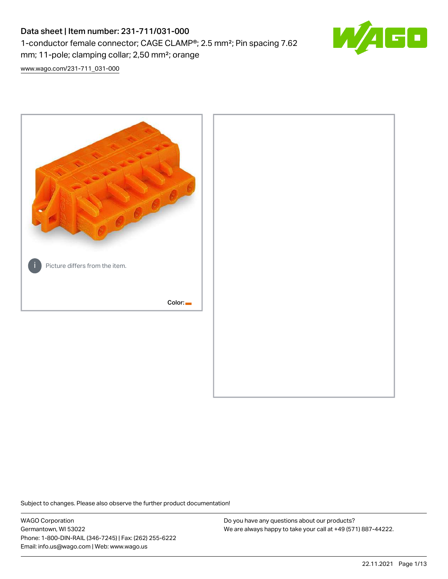# Data sheet | Item number: 231-711/031-000 1-conductor female connector; CAGE CLAMP®; 2.5 mm²; Pin spacing 7.62 mm; 11-pole; clamping collar; 2,50 mm²; orange



[www.wago.com/231-711\\_031-000](http://www.wago.com/231-711_031-000)



Subject to changes. Please also observe the further product documentation!

WAGO Corporation Germantown, WI 53022 Phone: 1-800-DIN-RAIL (346-7245) | Fax: (262) 255-6222 Email: info.us@wago.com | Web: www.wago.us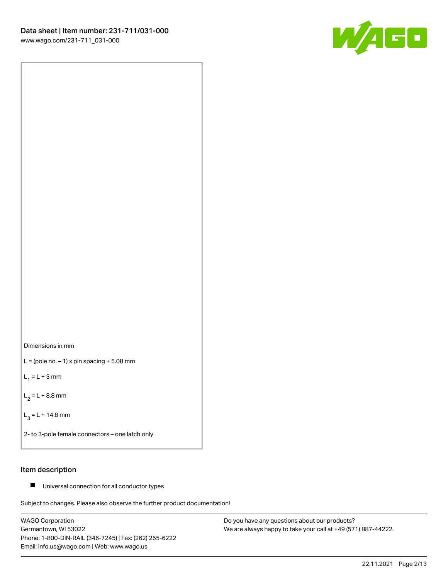



 $L =$  (pole no.  $-1$ ) x pin spacing  $+5.08$  mm

 $L_1 = L + 3$  mm

 $L_2 = L + 8.8$  mm

 $L_3 = L + 14.8$  mm

2- to 3-pole female connectors – one latch only

## Item description

■ Universal connection for all conductor types

Subject to changes. Please also observe the further product documentation!

WAGO Corporation Germantown, WI 53022 Phone: 1-800-DIN-RAIL (346-7245) | Fax: (262) 255-6222 Email: info.us@wago.com | Web: www.wago.us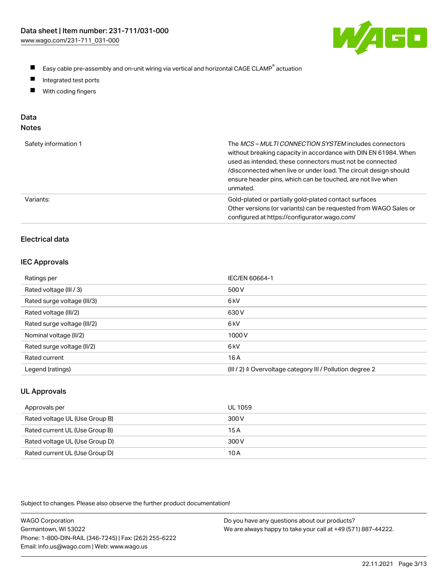

- $\blacksquare$ Easy cable pre-assembly and on-unit wiring via vertical and horizontal CAGE CLAMP<sup>®</sup> actuation
- $\blacksquare$ Integrated test ports
- $\blacksquare$ With coding fingers

# Data

| Safety information 1 | The MCS-MULTI CONNECTION SYSTEM includes connectors<br>without breaking capacity in accordance with DIN EN 61984. When<br>used as intended, these connectors must not be connected<br>/disconnected when live or under load. The circuit design should<br>ensure header pins, which can be touched, are not live when<br>unmated. |
|----------------------|-----------------------------------------------------------------------------------------------------------------------------------------------------------------------------------------------------------------------------------------------------------------------------------------------------------------------------------|
| Variants:            | Gold-plated or partially gold-plated contact surfaces<br>Other versions (or variants) can be requested from WAGO Sales or<br>configured at https://configurator.wago.com/                                                                                                                                                         |

# Electrical data

#### IEC Approvals

| Ratings per                 | IEC/EN 60664-1                                                        |
|-----------------------------|-----------------------------------------------------------------------|
| Rated voltage (III / 3)     | 500 V                                                                 |
| Rated surge voltage (III/3) | 6 <sub>k</sub> V                                                      |
| Rated voltage (III/2)       | 630 V                                                                 |
| Rated surge voltage (III/2) | 6 <sub>k</sub> V                                                      |
| Nominal voltage (II/2)      | 1000V                                                                 |
| Rated surge voltage (II/2)  | 6 <sub>k</sub> V                                                      |
| Rated current               | 16 A                                                                  |
| Legend (ratings)            | $(III / 2)$ $\triangle$ Overvoltage category III / Pollution degree 2 |

# UL Approvals

| Approvals per                  | UL 1059 |
|--------------------------------|---------|
| Rated voltage UL (Use Group B) | 300 V   |
| Rated current UL (Use Group B) | 15A     |
| Rated voltage UL (Use Group D) | 300 V   |
| Rated current UL (Use Group D) | 10 A    |

Subject to changes. Please also observe the further product documentation!

| <b>WAGO Corporation</b>                                | Do you have any questions about our products?                 |
|--------------------------------------------------------|---------------------------------------------------------------|
| Germantown, WI 53022                                   | We are always happy to take your call at +49 (571) 887-44222. |
| Phone: 1-800-DIN-RAIL (346-7245)   Fax: (262) 255-6222 |                                                               |
| Email: info.us@wago.com   Web: www.wago.us             |                                                               |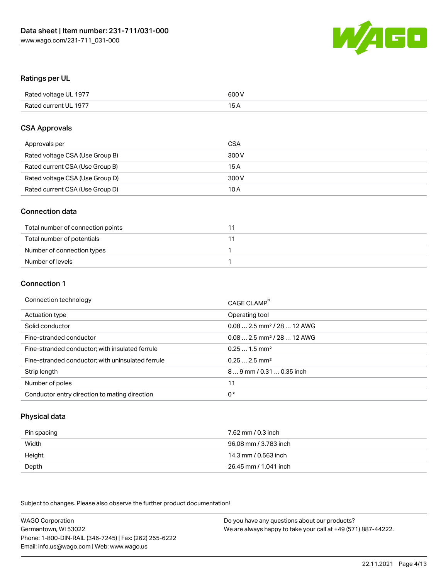

#### Ratings per UL

| Rated voltage UL 1977 | 600 V |
|-----------------------|-------|
| Rated current UL 1977 | 1 E   |

#### CSA Approvals

| Approvals per                   | CSA   |
|---------------------------------|-------|
| Rated voltage CSA (Use Group B) | 300 V |
| Rated current CSA (Use Group B) | 15 A  |
| Rated voltage CSA (Use Group D) | 300 V |
| Rated current CSA (Use Group D) | 10 A  |

#### Connection data

| Total number of connection points |  |
|-----------------------------------|--|
| Total number of potentials        |  |
| Number of connection types        |  |
| Number of levels                  |  |

#### Connection 1

| Connection technology                             | CAGE CLAMP <sup>®</sup>                |
|---------------------------------------------------|----------------------------------------|
| Actuation type                                    | Operating tool                         |
| Solid conductor                                   | $0.082.5$ mm <sup>2</sup> / 28  12 AWG |
| Fine-stranded conductor                           | $0.082.5$ mm <sup>2</sup> / 28  12 AWG |
| Fine-stranded conductor; with insulated ferrule   | $0.251.5$ mm <sup>2</sup>              |
| Fine-stranded conductor; with uninsulated ferrule | $0.252.5$ mm <sup>2</sup>              |
| Strip length                                      | 89 mm / 0.31  0.35 inch                |
| Number of poles                                   | 11                                     |
| Conductor entry direction to mating direction     | 0°                                     |

## Physical data

| Pin spacing | 7.62 mm / 0.3 inch    |
|-------------|-----------------------|
| Width       | 96.08 mm / 3.783 inch |
| Height      | 14.3 mm / 0.563 inch  |
| Depth       | 26.45 mm / 1.041 inch |

Subject to changes. Please also observe the further product documentation!

WAGO Corporation Germantown, WI 53022 Phone: 1-800-DIN-RAIL (346-7245) | Fax: (262) 255-6222 Email: info.us@wago.com | Web: www.wago.us Do you have any questions about our products? We are always happy to take your call at +49 (571) 887-44222.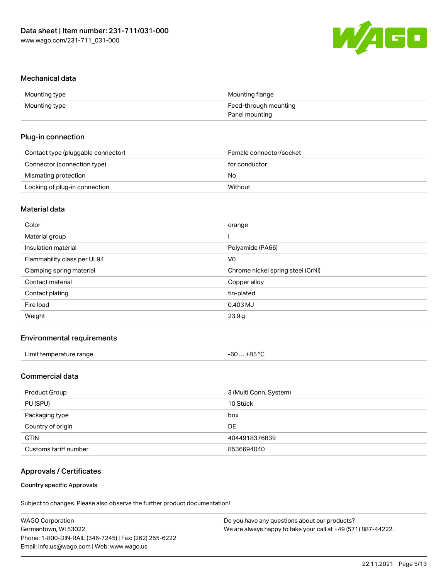

#### Mechanical data

| Mounting type | Mounting flange       |
|---------------|-----------------------|
| Mounting type | Feed-through mounting |
|               | Panel mounting        |

#### Plug-in connection

| Contact type (pluggable connector) | Female connector/socket |
|------------------------------------|-------------------------|
| Connector (connection type)        | for conductor           |
| Mismating protection               | No                      |
| Locking of plug-in connection      | Without                 |

## Material data

| Color                       | orange                            |
|-----------------------------|-----------------------------------|
| Material group              |                                   |
| Insulation material         | Polyamide (PA66)                  |
| Flammability class per UL94 | V <sub>0</sub>                    |
| Clamping spring material    | Chrome nickel spring steel (CrNi) |
| Contact material            | Copper alloy                      |
| Contact plating             | tin-plated                        |
| Fire load                   | $0.403$ MJ                        |
| Weight                      | 23.9g                             |
|                             |                                   |

## Environmental requirements

| Limit temperature range<br>. | . +85 °C<br>-60 … |  |
|------------------------------|-------------------|--|
|------------------------------|-------------------|--|

# Commercial data

| Product Group         | 3 (Multi Conn. System) |
|-----------------------|------------------------|
| PU (SPU)              | 10 Stück               |
| Packaging type        | box                    |
| Country of origin     | <b>DE</b>              |
| <b>GTIN</b>           | 4044918376839          |
| Customs tariff number | 8536694040             |

## Approvals / Certificates

#### Country specific Approvals

Subject to changes. Please also observe the further product documentation!

| <b>WAGO Corporation</b>                                | Do you have any questions about our products?                 |
|--------------------------------------------------------|---------------------------------------------------------------|
| Germantown, WI 53022                                   | We are always happy to take your call at +49 (571) 887-44222. |
| Phone: 1-800-DIN-RAIL (346-7245)   Fax: (262) 255-6222 |                                                               |
| Email: info.us@wago.com   Web: www.wago.us             |                                                               |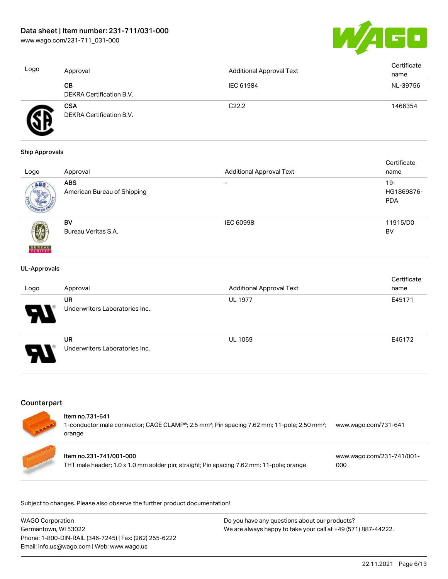

| Logo | Approval                               | Additional Approval Text | Certificate<br>name |
|------|----------------------------------------|--------------------------|---------------------|
|      | CВ<br>DEKRA Certification B.V.         | IEC 61984                | NL-39756            |
|      | <b>CSA</b><br>DEKRA Certification B.V. | C <sub>22.2</sub>        | 1466354             |

#### Ship Approvals

|                          |                             |                                 | Certificate |
|--------------------------|-----------------------------|---------------------------------|-------------|
| Logo                     | Approval                    | <b>Additional Approval Text</b> | name        |
| ABS.                     | <b>ABS</b>                  | $\overline{\phantom{0}}$        | $19-$       |
|                          | American Bureau of Shipping |                                 | HG1869876-  |
|                          |                             |                                 | <b>PDA</b>  |
|                          |                             |                                 |             |
|                          | BV                          | <b>IEC 60998</b>                | 11915/D0    |
|                          | Bureau Veritas S.A.         |                                 | BV          |
|                          |                             |                                 |             |
| <b>BUREAU</b><br>VERITAS |                             |                                 |             |

#### UL-Approvals

| Logo   | Approval                                    | <b>Additional Approval Text</b> | Certificate<br>name |
|--------|---------------------------------------------|---------------------------------|---------------------|
| Я      | <b>UR</b><br>Underwriters Laboratories Inc. | <b>UL 1977</b>                  | E45171              |
| 8<br>N | <b>UR</b><br>Underwriters Laboratories Inc. | <b>UL 1059</b>                  | E45172              |

# **Counterpart**

| <b>CALLADOR</b> | Item no.731-641<br>1-conductor male connector; CAGE CLAMP®; 2.5 mm <sup>2</sup> ; Pin spacing 7.62 mm; 11-pole; 2,50 mm <sup>2</sup> ;<br>orange | www.wago.com/731-641             |
|-----------------|--------------------------------------------------------------------------------------------------------------------------------------------------|----------------------------------|
|                 | Item no.231-741/001-000<br>THT male header; 1.0 x 1.0 mm solder pin; straight; Pin spacing 7.62 mm; 11-pole; orange                              | www.wago.com/231-741/001-<br>000 |

Subject to changes. Please also observe the further product documentation!

| WAGO Corporation                                       | Do you have any questions about our products?                 |
|--------------------------------------------------------|---------------------------------------------------------------|
| Germantown, WI 53022                                   | We are always happy to take your call at +49 (571) 887-44222. |
| Phone: 1-800-DIN-RAIL (346-7245)   Fax: (262) 255-6222 |                                                               |
| Email: info.us@wago.com   Web: www.wago.us             |                                                               |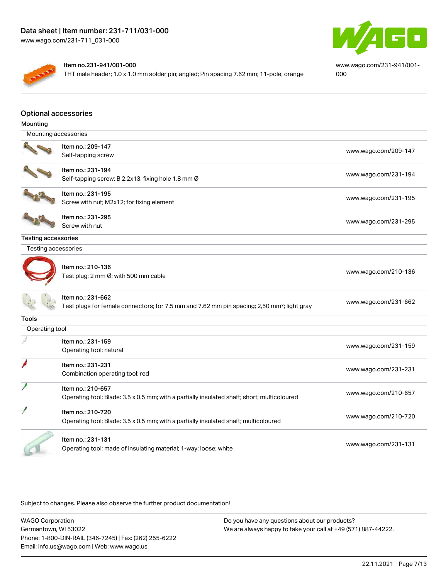



#### Item no.231-941/001-000

THT male header; 1.0 x 1.0 mm solder pin; angled; Pin spacing 7.62 mm; 11-pole; orange

[www.wago.com/231-941/001-](https://www.wago.com/231-941/001-000) [000](https://www.wago.com/231-941/001-000)

#### Optional accessories

| Mounting                   |                                                                                                         |                      |
|----------------------------|---------------------------------------------------------------------------------------------------------|----------------------|
| Mounting accessories       |                                                                                                         |                      |
|                            | Item no.: 209-147                                                                                       |                      |
|                            | Self-tapping screw                                                                                      | www.wago.com/209-147 |
|                            | Item no.: 231-194                                                                                       |                      |
|                            | Self-tapping screw; B 2.2x13, fixing hole 1.8 mm Ø                                                      | www.wago.com/231-194 |
|                            | Item no.: 231-195                                                                                       | www.wago.com/231-195 |
|                            | Screw with nut; M2x12; for fixing element                                                               |                      |
|                            | Item no.: 231-295                                                                                       | www.wago.com/231-295 |
|                            | Screw with nut                                                                                          |                      |
| <b>Testing accessories</b> |                                                                                                         |                      |
| Testing accessories        |                                                                                                         |                      |
|                            |                                                                                                         |                      |
|                            | Item no.: 210-136                                                                                       | www.wago.com/210-136 |
|                            | Test plug; 2 mm Ø; with 500 mm cable                                                                    |                      |
|                            | Item no.: 231-662                                                                                       |                      |
|                            | Test plugs for female connectors; for 7.5 mm and 7.62 mm pin spacing; 2,50 mm <sup>2</sup> ; light gray | www.wago.com/231-662 |
| <b>Tools</b>               |                                                                                                         |                      |
| Operating tool             |                                                                                                         |                      |
|                            | Item no.: 231-159                                                                                       |                      |
|                            | Operating tool; natural                                                                                 | www.wago.com/231-159 |
|                            | Item no.: 231-231                                                                                       |                      |
|                            | Combination operating tool; red                                                                         | www.wago.com/231-231 |
|                            | Item no.: 210-657                                                                                       |                      |
|                            | Operating tool; Blade: 3.5 x 0.5 mm; with a partially insulated shaft; short; multicoloured             | www.wago.com/210-657 |
|                            | Item no.: 210-720                                                                                       |                      |
|                            | Operating tool; Blade: 3.5 x 0.5 mm; with a partially insulated shaft; multicoloured                    | www.wago.com/210-720 |
|                            | Item no.: 231-131                                                                                       |                      |
|                            | Operating tool; made of insulating material; 1-way; loose; white                                        | www.wago.com/231-131 |
|                            |                                                                                                         |                      |

Subject to changes. Please also observe the further product documentation!

WAGO Corporation Germantown, WI 53022 Phone: 1-800-DIN-RAIL (346-7245) | Fax: (262) 255-6222 Email: info.us@wago.com | Web: www.wago.us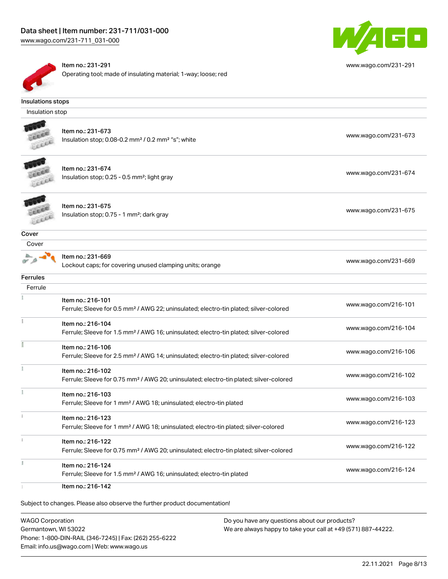

Item no.: 231-291 Operating tool; made of insulating material; 1-way; loose; red

#### Insulations stops

Insulation stop



Item no.: 231-673 Insulation stop; 0.08-0.2 mm<sup>2</sup> / 0.2 mm<sup>2</sup> "s"; white [www.wago.com/231-673](http://www.wago.com/231-673) www.wago.com/231-673



Item no.: 231-674 Insulation stop; 0.25 - 0.5 mm²; light gray [www.wago.com/231-674](http://www.wago.com/231-674) www.wago.com/231-674



Item no.: 231-675 Insulation stop; 0.75 - 1 mm²; dark gray [www.wago.com/231-675](http://www.wago.com/231-675)<br>Insulation stop; 0.75 - 1 mm²; dark gray

## **Cover**



Item no.: 231-669 Lockout caps; for covering unused clamping units; orange [www.wago.com/231-669](http://www.wago.com/231-669)

Ferrules Ferrule Item no.: 216-101 Ferrule; Sleeve for 0.5 mm² / AWG 22; uninsulated; electro-tin plated; silver-colored [www.wago.com/216-101](http://www.wago.com/216-101) Item no.: 216-104 Ferrule; Sleeve for 1.5 mm² / AWG 16; uninsulated; electro-tin plated; silver-colored [www.wago.com/216-104](http://www.wago.com/216-104) E Item no.: 216-106 Ferrule; Sleeve for 2.5 mm² / AWG 14; uninsulated; electro-tin plated; silver-colored [www.wago.com/216-106](http://www.wago.com/216-106)  $\frac{1}{2}$ Item no.: 216-102 Ferrule; Sleeve for 0.75 mm² / AWG 20; uninsulated; electro-tin plated; silver-colored [www.wago.com/216-102](http://www.wago.com/216-102) Item no.: 216-103 Ferrule; Sleeve for 1 mm² / AWG 18; uninsulated; electro-tin plated [www.wago.com/216-103](http://www.wago.com/216-103) Item no.: 216-123 Ferrule; Sleeve for 1 mm² / AWG 18; uninsulated; electro-tin plated; silver-colored [www.wago.com/216-123](http://www.wago.com/216-123) Item no.: 216-122 Ferrule; Sleeve for 0.75 mm² / AWG 20; uninsulated; electro-tin plated; silver-colored [www.wago.com/216-122](http://www.wago.com/216-122) Item no.: 216-124 Ferrule; Sleeve for 1.5 mm<sup>2</sup> / AWG 16; uninsulated; electro-tin plated [www.wago.com/216-124](http://www.wago.com/216-124) Item no.: 216-142

Subject to changes. Please also observe the further product documentation!

WAGO Corporation Germantown, WI 53022 Phone: 1-800-DIN-RAIL (346-7245) | Fax: (262) 255-6222 Email: info.us@wago.com | Web: www.wago.us

Do you have any questions about our products? We are always happy to take your call at +49 (571) 887-44222.



[www.wago.com/231-291](http://www.wago.com/231-291)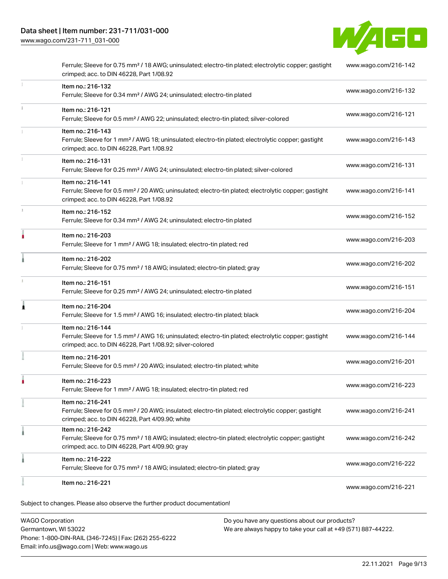

|    | Item no.: 216-221                                                                                                                                                                                 | www.wago.com/216-221 |
|----|---------------------------------------------------------------------------------------------------------------------------------------------------------------------------------------------------|----------------------|
|    | Item no.: 216-222<br>Ferrule; Sleeve for 0.75 mm <sup>2</sup> / 18 AWG; insulated; electro-tin plated; gray                                                                                       | www.wago.com/216-222 |
|    | Item no.: 216-242<br>Ferrule; Sleeve for 0.75 mm <sup>2</sup> / 18 AWG; insulated; electro-tin plated; electrolytic copper; gastight<br>crimped; acc. to DIN 46228, Part 4/09.90; gray            | www.wago.com/216-242 |
|    | Item no.: 216-241<br>Ferrule; Sleeve for 0.5 mm <sup>2</sup> / 20 AWG; insulated; electro-tin plated; electrolytic copper; gastight<br>crimped; acc. to DIN 46228, Part 4/09.90; white            | www.wago.com/216-241 |
|    | Item no.: 216-223<br>Ferrule; Sleeve for 1 mm <sup>2</sup> / AWG 18; insulated; electro-tin plated; red                                                                                           | www.wago.com/216-223 |
|    | Item no.: 216-201<br>Ferrule; Sleeve for 0.5 mm <sup>2</sup> / 20 AWG; insulated; electro-tin plated; white                                                                                       | www.wago.com/216-201 |
|    | Item no.: 216-144<br>Ferrule; Sleeve for 1.5 mm <sup>2</sup> / AWG 16; uninsulated; electro-tin plated; electrolytic copper; gastight<br>crimped; acc. to DIN 46228, Part 1/08.92; silver-colored | www.wago.com/216-144 |
| Â  | Item no.: 216-204<br>Ferrule; Sleeve for 1.5 mm <sup>2</sup> / AWG 16; insulated; electro-tin plated; black                                                                                       | www.wago.com/216-204 |
|    | Item no.: 216-151<br>Ferrule; Sleeve for 0.25 mm <sup>2</sup> / AWG 24; uninsulated; electro-tin plated                                                                                           | www.wago.com/216-151 |
|    | Item no.: 216-202<br>Ferrule; Sleeve for 0.75 mm <sup>2</sup> / 18 AWG; insulated; electro-tin plated; gray                                                                                       | www.wago.com/216-202 |
| ۸  | Item no.: 216-203<br>Ferrule; Sleeve for 1 mm <sup>2</sup> / AWG 18; insulated; electro-tin plated; red                                                                                           | www.wago.com/216-203 |
| t. | Item no.: 216-152<br>Ferrule; Sleeve for 0.34 mm <sup>2</sup> / AWG 24; uninsulated; electro-tin plated                                                                                           | www.wago.com/216-152 |
|    | Item no.: 216-141<br>Ferrule; Sleeve for 0.5 mm <sup>2</sup> / 20 AWG; uninsulated; electro-tin plated; electrolytic copper; gastight<br>crimped; acc. to DIN 46228, Part 1/08.92                 | www.wago.com/216-141 |
|    | Item no.: 216-131<br>Ferrule; Sleeve for 0.25 mm <sup>2</sup> / AWG 24; uninsulated; electro-tin plated; silver-colored                                                                           | www.wago.com/216-131 |
|    | Item no.: 216-143<br>Ferrule; Sleeve for 1 mm <sup>2</sup> / AWG 18; uninsulated; electro-tin plated; electrolytic copper; gastight<br>crimped; acc. to DIN 46228, Part 1/08.92                   | www.wago.com/216-143 |
| ī. | Item no.: 216-121<br>Ferrule; Sleeve for 0.5 mm <sup>2</sup> / AWG 22; uninsulated; electro-tin plated; silver-colored                                                                            | www.wago.com/216-121 |
| 1  | Item no.: 216-132<br>Ferrule; Sleeve for 0.34 mm <sup>2</sup> / AWG 24; uninsulated; electro-tin plated                                                                                           | www.wago.com/216-132 |
|    | Ferrule; Sleeve for 0.75 mm <sup>2</sup> / 18 AWG; uninsulated; electro-tin plated; electrolytic copper; gastight<br>crimped; acc. to DIN 46228, Part 1/08.92                                     | www.wago.com/216-142 |

WAGO Corporation Germantown, WI 53022 Phone: 1-800-DIN-RAIL (346-7245) | Fax: (262) 255-6222 Email: info.us@wago.com | Web: www.wago.us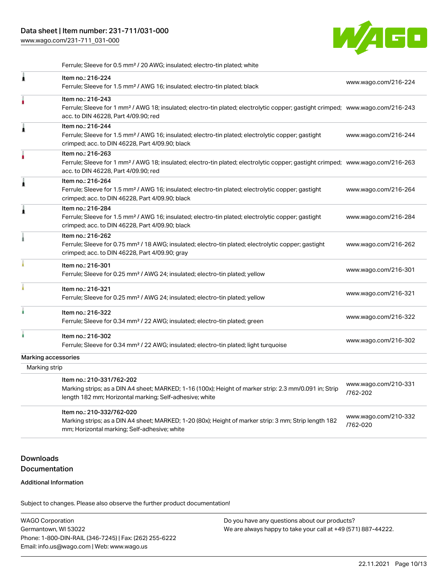

Ferrule; Sleeve for 0.5 mm² / 20 AWG; insulated; electro-tin plated; white

| Item no.: 216-224<br>Ferrule; Sleeve for 1.5 mm <sup>2</sup> / AWG 16; insulated; electro-tin plated; black                                                                                    | www.wago.com/216-224                                                                                                                                                                                                                                                                     |
|------------------------------------------------------------------------------------------------------------------------------------------------------------------------------------------------|------------------------------------------------------------------------------------------------------------------------------------------------------------------------------------------------------------------------------------------------------------------------------------------|
| Item no.: 216-243<br>acc. to DIN 46228, Part 4/09.90; red                                                                                                                                      |                                                                                                                                                                                                                                                                                          |
| Item no.: 216-244<br>Ferrule; Sleeve for 1.5 mm <sup>2</sup> / AWG 16; insulated; electro-tin plated; electrolytic copper; gastight<br>crimped; acc. to DIN 46228, Part 4/09.90; black         | www.wago.com/216-244                                                                                                                                                                                                                                                                     |
| Item no.: 216-263<br>acc. to DIN 46228, Part 4/09.90; red                                                                                                                                      |                                                                                                                                                                                                                                                                                          |
| Item no.: 216-264<br>Ferrule; Sleeve for 1.5 mm <sup>2</sup> / AWG 16; insulated; electro-tin plated; electrolytic copper; gastight<br>crimped; acc. to DIN 46228, Part 4/09.90; black         | www.wago.com/216-264                                                                                                                                                                                                                                                                     |
| Item no.: 216-284<br>Ferrule; Sleeve for 1.5 mm <sup>2</sup> / AWG 16; insulated; electro-tin plated; electrolytic copper; gastight<br>crimped; acc. to DIN 46228, Part 4/09.90; black         | www.wago.com/216-284                                                                                                                                                                                                                                                                     |
| Item no.: 216-262<br>Ferrule; Sleeve for 0.75 mm <sup>2</sup> / 18 AWG; insulated; electro-tin plated; electrolytic copper; gastight<br>crimped; acc. to DIN 46228, Part 4/09.90; gray         | www.wago.com/216-262                                                                                                                                                                                                                                                                     |
| Item no.: 216-301<br>Ferrule; Sleeve for 0.25 mm <sup>2</sup> / AWG 24; insulated; electro-tin plated; yellow                                                                                  | www.wago.com/216-301                                                                                                                                                                                                                                                                     |
| Item no.: 216-321<br>Ferrule; Sleeve for 0.25 mm <sup>2</sup> / AWG 24; insulated; electro-tin plated; yellow                                                                                  | www.wago.com/216-321                                                                                                                                                                                                                                                                     |
| Item no.: 216-322<br>Ferrule; Sleeve for 0.34 mm <sup>2</sup> / 22 AWG; insulated; electro-tin plated; green                                                                                   | www.wago.com/216-322                                                                                                                                                                                                                                                                     |
| Item no.: 216-302<br>Ferrule; Sleeve for 0.34 mm <sup>2</sup> / 22 AWG; insulated; electro-tin plated; light turquoise                                                                         | www.wago.com/216-302                                                                                                                                                                                                                                                                     |
| Marking accessories                                                                                                                                                                            |                                                                                                                                                                                                                                                                                          |
| Marking strip                                                                                                                                                                                  |                                                                                                                                                                                                                                                                                          |
| Item no.: 210-331/762-202<br>Marking strips; as a DIN A4 sheet; MARKED; 1-16 (100x); Height of marker strip: 2.3 mm/0.091 in; Strip<br>length 182 mm; Horizontal marking; Self-adhesive; white | www.wago.com/210-331<br>/762-202                                                                                                                                                                                                                                                         |
| Item no.: 210-332/762-020<br>Marking strips; as a DIN A4 sheet; MARKED; 1-20 (80x); Height of marker strip: 3 mm; Strip length 182<br>mm; Horizontal marking; Self-adhesive; white             | www.wago.com/210-332<br>/762-020                                                                                                                                                                                                                                                         |
|                                                                                                                                                                                                | Ferrule; Sleeve for 1 mm <sup>2</sup> / AWG 18; insulated; electro-tin plated; electrolytic copper; gastight crimped; www.wago.com/216-243<br>Ferrule; Sleeve for 1 mm <sup>2</sup> / AWG 18; insulated; electro-tin plated; electrolytic copper; gastight crimped; www.wago.com/216-263 |

# Downloads Documentation

#### Additional Information

Subject to changes. Please also observe the further product documentation!

WAGO Corporation Germantown, WI 53022 Phone: 1-800-DIN-RAIL (346-7245) | Fax: (262) 255-6222 Email: info.us@wago.com | Web: www.wago.us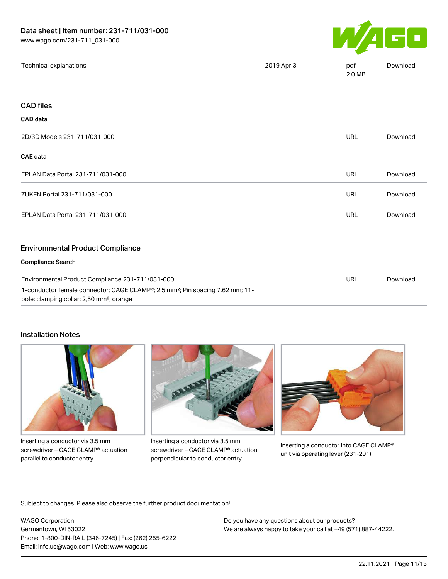

| Technical explanations | 2019 Apr 3 | pdf<br>2.0 MB | <b>Download</b> |
|------------------------|------------|---------------|-----------------|
|------------------------|------------|---------------|-----------------|

# CAD files

#### CAD data

| 2D/3D Models 231-711/031-000                                                                                                                                                                                       | <b>URL</b> | Download |
|--------------------------------------------------------------------------------------------------------------------------------------------------------------------------------------------------------------------|------------|----------|
| <b>CAE</b> data                                                                                                                                                                                                    |            |          |
| EPLAN Data Portal 231-711/031-000                                                                                                                                                                                  | URL        | Download |
| ZUKEN Portal 231-711/031-000                                                                                                                                                                                       | <b>URL</b> | Download |
| EPLAN Data Portal 231-711/031-000                                                                                                                                                                                  | <b>URL</b> | Download |
| <b>Environmental Product Compliance</b>                                                                                                                                                                            |            |          |
| <b>Compliance Search</b>                                                                                                                                                                                           |            |          |
| Environmental Product Compliance 231-711/031-000<br>1-conductor female connector; CAGE CLAMP <sup>®</sup> ; 2.5 mm <sup>2</sup> ; Pin spacing 7.62 mm; 11-<br>pole; clamping collar; 2,50 mm <sup>2</sup> ; orange | <b>URL</b> | Download |

#### Installation Notes



Inserting a conductor via 3.5 mm screwdriver – CAGE CLAMP® actuation parallel to conductor entry.



Inserting a conductor via 3.5 mm screwdriver – CAGE CLAMP® actuation perpendicular to conductor entry.



Inserting a conductor into CAGE CLAMP® unit via operating lever (231-291).

Subject to changes. Please also observe the further product documentation!

WAGO Corporation Germantown, WI 53022 Phone: 1-800-DIN-RAIL (346-7245) | Fax: (262) 255-6222 Email: info.us@wago.com | Web: www.wago.us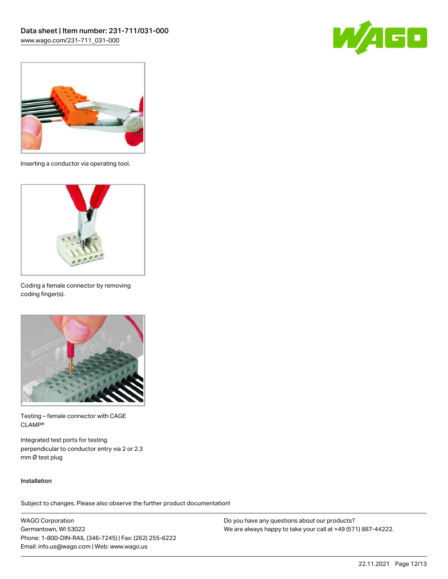



Inserting a conductor via operating tool.



Coding a female connector by removing coding finger(s).



Testing – female connector with CAGE CLAMP®

Integrated test ports for testing perpendicular to conductor entry via 2 or 2.3 mm Ø test plug

#### Installation

Subject to changes. Please also observe the further product documentation!

WAGO Corporation Germantown, WI 53022 Phone: 1-800-DIN-RAIL (346-7245) | Fax: (262) 255-6222 Email: info.us@wago.com | Web: www.wago.us